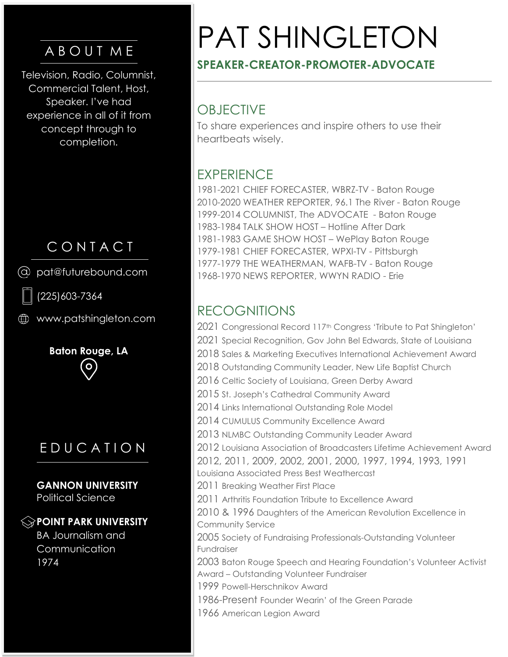# A B O U T M E

Television, Radio, Columnist, Commercial Talent, Host, Speaker. I've had experience in all of it from concept through to completion.

# C O N T A C T

pat@futurebound.com

(225)603-7364

www.patshingleton.com

**Baton Rouge, LA**   $\overline{O}$ 

# E D U C A T I O N

**GANNON UNIVERSITY** Political Science

#### **POINT PARK UNIVERSITY**

BA Journalism and Communication 1974

# PAT SHINGLETON

## **SPEAKER-CREATOR-PROMOTER-ADVOCATE**

# **OBJECTIVE**

To share experiences and inspire others to use their heartbeats wisely.

# **EXPERIENCE**

1981-2021 CHIEF FORECASTER, WBRZ-TV - Baton Rouge 2010-2020 WEATHER REPORTER, 96.1 The River - Baton Rouge 1999-2014 COLUMNIST, The ADVOCATE - Baton Rouge 1983-1984 TALK SHOW HOST – Hotline After Dark 1981-1983 GAME SHOW HOST – WePlay Baton Rouge 1979-1981 CHIEF FORECASTER, WPXI-TV - Pittsburgh 1977-1979 THE WEATHERMAN, WAFB-TV - Baton Rouge 1968-1970 NEWS REPORTER, WWYN RADIO - Erie

# RECOGNITIONS

2021 Congressional Record 117<sup>th</sup> Congress 'Tribute to Pat Shingleton' 2021 Special Recognition, Gov John Bel Edwards, State of Louisiana 2018 Sales & Marketing Executives International Achievement Award 2018 Outstanding Community Leader, New Life Baptist Church 2016 Celtic Society of Louisiana, Green Derby Award 2015 St. Joseph's Cathedral Community Award 2014 Links International Outstanding Role Model 2014 CUMULUS Community Excellence Award 2013 NLMBC Outstanding Community Leader Award 2012 Louisiana Association of Broadcasters Lifetime Achievement Award 2012, 2011, 2009, 2002, 2001, 2000, 1997, 1994, 1993, 1991 Louisiana Associated Press Best Weathercast 2011 Breaking Weather First Place 2011 Arthritis Foundation Tribute to Excellence Award 2010 & 1996 Daughters of the American Revolution Excellence in Community Service 2005 Society of Fundraising Professionals-Outstanding Volunteer Fundraiser 2003 Baton Rouge Speech and Hearing Foundation's Volunteer Activist Award – Outstanding Volunteer Fundraiser 1999 Powell-Herschnikov Award 1986-Present Founder Wearin' of the Green Parade 1966 American Legion Award